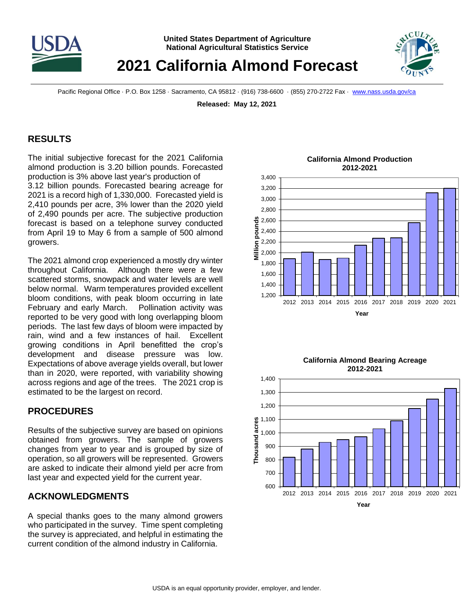

# **2021 California Almond Forecast**

Pacific Regional Office · P.O. Box 1258 · Sacramento, CA 95812 · (916) 738-6600 · (855) 270-2722 Fax · [www.nass.usda.gov/ca](http://www.nass.usda.gov/ca)

**Released: May 12, 2021**

### **RESULTS**

The initial subjective forecast for the 2021 California almond production is 3.20 billion pounds. Forecasted production is 3% above last year's production of 3.12 billion pounds. Forecasted bearing acreage for 2021 is a record high of 1,330,000. Forecasted yield is 2,410 pounds per acre, 3% lower than the 2020 yield of 2,490 pounds per acre. The subjective production forecast is based on a telephone survey conducted from April 19 to May 6 from a sample of 500 almond growers.

The 2021 almond crop experienced a mostly dry winter throughout California. Although there were a few scattered storms, snowpack and water levels are well below normal. Warm temperatures provided excellent bloom conditions, with peak bloom occurring in late February and early March. Pollination activity was reported to be very good with long overlapping bloom periods. The last few days of bloom were impacted by rain, wind and a few instances of hail. Excellent growing conditions in April benefitted the crop's development and disease pressure was low. Expectations of above average yields overall, but lower than in 2020, were reported, with variability showing across regions and age of the trees. The 2021 crop is estimated to be the largest on record.

# **PROCEDURES**

Results of the subjective survey are based on opinions obtained from growers. The sample of growers changes from year to year and is grouped by size of operation, so all growers will be represented. Growers are asked to indicate their almond yield per acre from last year and expected yield for the current year.

# **ACKNOWLEDGMENTS**

A special thanks goes to the many almond growers who participated in the survey. Time spent completing the survey is appreciated, and helpful in estimating the current condition of the almond industry in California.



#### **California Almond Production 2012-2021**



**California Almond Bearing Acreage**